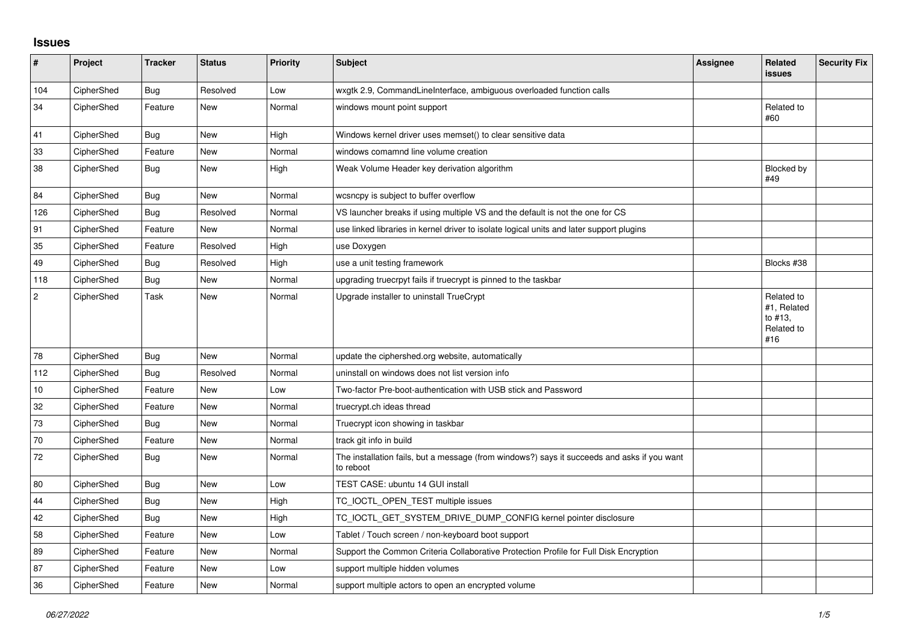## **Issues**

| #              | Project    | <b>Tracker</b> | <b>Status</b> | <b>Priority</b> | Subject                                                                                                  | <b>Assignee</b> | <b>Related</b><br><b>issues</b>                           | <b>Security Fix</b> |
|----------------|------------|----------------|---------------|-----------------|----------------------------------------------------------------------------------------------------------|-----------------|-----------------------------------------------------------|---------------------|
| 104            | CipherShed | Bug            | Resolved      | Low             | wxgtk 2.9, CommandLineInterface, ambiguous overloaded function calls                                     |                 |                                                           |                     |
| 34             | CipherShed | Feature        | New           | Normal          | windows mount point support                                                                              |                 | Related to<br>#60                                         |                     |
| 41             | CipherShed | <b>Bug</b>     | New           | High            | Windows kernel driver uses memset() to clear sensitive data                                              |                 |                                                           |                     |
| 33             | CipherShed | Feature        | <b>New</b>    | Normal          | windows comamnd line volume creation                                                                     |                 |                                                           |                     |
| 38             | CipherShed | Bug            | New           | High            | Weak Volume Header key derivation algorithm                                                              |                 | Blocked by<br>#49                                         |                     |
| 84             | CipherShed | <b>Bug</b>     | New           | Normal          | wcsncpy is subject to buffer overflow                                                                    |                 |                                                           |                     |
| 126            | CipherShed | Bug            | Resolved      | Normal          | VS launcher breaks if using multiple VS and the default is not the one for CS                            |                 |                                                           |                     |
| 91             | CipherShed | Feature        | <b>New</b>    | Normal          | use linked libraries in kernel driver to isolate logical units and later support plugins                 |                 |                                                           |                     |
| 35             | CipherShed | Feature        | Resolved      | High            | use Doxygen                                                                                              |                 |                                                           |                     |
| 49             | CipherShed | <b>Bug</b>     | Resolved      | High            | use a unit testing framework                                                                             |                 | Blocks #38                                                |                     |
| 118            | CipherShed | <b>Bug</b>     | <b>New</b>    | Normal          | upgrading truecrpyt fails if truecrypt is pinned to the taskbar                                          |                 |                                                           |                     |
| $\overline{c}$ | CipherShed | Task           | <b>New</b>    | Normal          | Upgrade installer to uninstall TrueCrypt                                                                 |                 | Related to<br>#1, Related<br>to #13,<br>Related to<br>#16 |                     |
| 78             | CipherShed | Bug            | <b>New</b>    | Normal          | update the ciphershed.org website, automatically                                                         |                 |                                                           |                     |
| 112            | CipherShed | <b>Bug</b>     | Resolved      | Normal          | uninstall on windows does not list version info                                                          |                 |                                                           |                     |
| 10             | CipherShed | Feature        | <b>New</b>    | Low             | Two-factor Pre-boot-authentication with USB stick and Password                                           |                 |                                                           |                     |
| 32             | CipherShed | Feature        | New           | Normal          | truecrypt.ch ideas thread                                                                                |                 |                                                           |                     |
| 73             | CipherShed | <b>Bug</b>     | <b>New</b>    | Normal          | Truecrypt icon showing in taskbar                                                                        |                 |                                                           |                     |
| 70             | CipherShed | Feature        | <b>New</b>    | Normal          | track git info in build                                                                                  |                 |                                                           |                     |
| $72\,$         | CipherShed | <b>Bug</b>     | <b>New</b>    | Normal          | The installation fails, but a message (from windows?) says it succeeds and asks if you want<br>to reboot |                 |                                                           |                     |
| 80             | CipherShed | <b>Bug</b>     | <b>New</b>    | Low             | TEST CASE: ubuntu 14 GUI install                                                                         |                 |                                                           |                     |
| 44             | CipherShed | <b>Bug</b>     | <b>New</b>    | High            | TC_IOCTL_OPEN_TEST multiple issues                                                                       |                 |                                                           |                     |
| 42             | CipherShed | <b>Bug</b>     | <b>New</b>    | High            | TC_IOCTL_GET_SYSTEM_DRIVE_DUMP_CONFIG kernel pointer disclosure                                          |                 |                                                           |                     |
| 58             | CipherShed | Feature        | <b>New</b>    | Low             | Tablet / Touch screen / non-keyboard boot support                                                        |                 |                                                           |                     |
| 89             | CipherShed | Feature        | New           | Normal          | Support the Common Criteria Collaborative Protection Profile for Full Disk Encryption                    |                 |                                                           |                     |
| 87             | CipherShed | Feature        | New           | Low             | support multiple hidden volumes                                                                          |                 |                                                           |                     |
| 36             | CipherShed | Feature        | <b>New</b>    | Normal          | support multiple actors to open an encrypted volume                                                      |                 |                                                           |                     |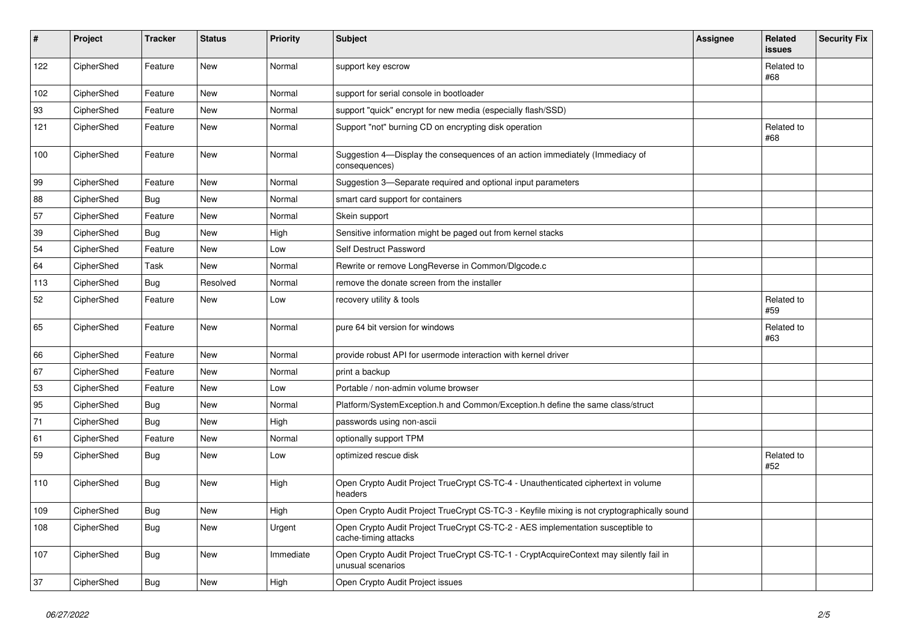| $\sharp$ | Project    | <b>Tracker</b> | <b>Status</b> | <b>Priority</b> | <b>Subject</b>                                                                                              | Assignee | Related<br><b>issues</b> | <b>Security Fix</b> |
|----------|------------|----------------|---------------|-----------------|-------------------------------------------------------------------------------------------------------------|----------|--------------------------|---------------------|
| 122      | CipherShed | Feature        | New           | Normal          | support key escrow                                                                                          |          | Related to<br>#68        |                     |
| 102      | CipherShed | Feature        | <b>New</b>    | Normal          | support for serial console in bootloader                                                                    |          |                          |                     |
| 93       | CipherShed | Feature        | New           | Normal          | support "quick" encrypt for new media (especially flash/SSD)                                                |          |                          |                     |
| 121      | CipherShed | Feature        | New           | Normal          | Support "not" burning CD on encrypting disk operation                                                       |          | Related to<br>#68        |                     |
| 100      | CipherShed | Feature        | New           | Normal          | Suggestion 4-Display the consequences of an action immediately (Immediacy of<br>consequences)               |          |                          |                     |
| 99       | CipherShed | Feature        | New           | Normal          | Suggestion 3-Separate required and optional input parameters                                                |          |                          |                     |
| 88       | CipherShed | <b>Bug</b>     | New           | Normal          | smart card support for containers                                                                           |          |                          |                     |
| 57       | CipherShed | Feature        | New           | Normal          | Skein support                                                                                               |          |                          |                     |
| 39       | CipherShed | <b>Bug</b>     | New           | High            | Sensitive information might be paged out from kernel stacks                                                 |          |                          |                     |
| 54       | CipherShed | Feature        | New           | Low             | Self Destruct Password                                                                                      |          |                          |                     |
| 64       | CipherShed | Task           | New           | Normal          | Rewrite or remove LongReverse in Common/DIgcode.c                                                           |          |                          |                     |
| 113      | CipherShed | Bug            | Resolved      | Normal          | remove the donate screen from the installer                                                                 |          |                          |                     |
| 52       | CipherShed | Feature        | New           | Low             | recovery utility & tools                                                                                    |          | Related to<br>#59        |                     |
| 65       | CipherShed | Feature        | New           | Normal          | pure 64 bit version for windows                                                                             |          | Related to<br>#63        |                     |
| 66       | CipherShed | Feature        | <b>New</b>    | Normal          | provide robust API for usermode interaction with kernel driver                                              |          |                          |                     |
| 67       | CipherShed | Feature        | <b>New</b>    | Normal          | print a backup                                                                                              |          |                          |                     |
| 53       | CipherShed | Feature        | <b>New</b>    | Low             | Portable / non-admin volume browser                                                                         |          |                          |                     |
| 95       | CipherShed | <b>Bug</b>     | New           | Normal          | Platform/SystemException.h and Common/Exception.h define the same class/struct                              |          |                          |                     |
| 71       | CipherShed | Bug            | <b>New</b>    | High            | passwords using non-ascii                                                                                   |          |                          |                     |
| 61       | CipherShed | Feature        | New           | Normal          | optionally support TPM                                                                                      |          |                          |                     |
| 59       | CipherShed | <b>Bug</b>     | New           | Low             | optimized rescue disk                                                                                       |          | Related to<br>#52        |                     |
| 110      | CipherShed | <b>Bug</b>     | New           | High            | Open Crypto Audit Project TrueCrypt CS-TC-4 - Unauthenticated ciphertext in volume<br>headers               |          |                          |                     |
| 109      | CipherShed | <b>Bug</b>     | <b>New</b>    | High            | Open Crypto Audit Project TrueCrypt CS-TC-3 - Keyfile mixing is not cryptographically sound                 |          |                          |                     |
| 108      | CipherShed | <b>Bug</b>     | New           | Urgent          | Open Crypto Audit Project TrueCrypt CS-TC-2 - AES implementation susceptible to<br>cache-timing attacks     |          |                          |                     |
| 107      | CipherShed | <b>Bug</b>     | New           | Immediate       | Open Crypto Audit Project TrueCrypt CS-TC-1 - CryptAcquireContext may silently fail in<br>unusual scenarios |          |                          |                     |
| 37       | CipherShed | <b>Bug</b>     | <b>New</b>    | High            | Open Crypto Audit Project issues                                                                            |          |                          |                     |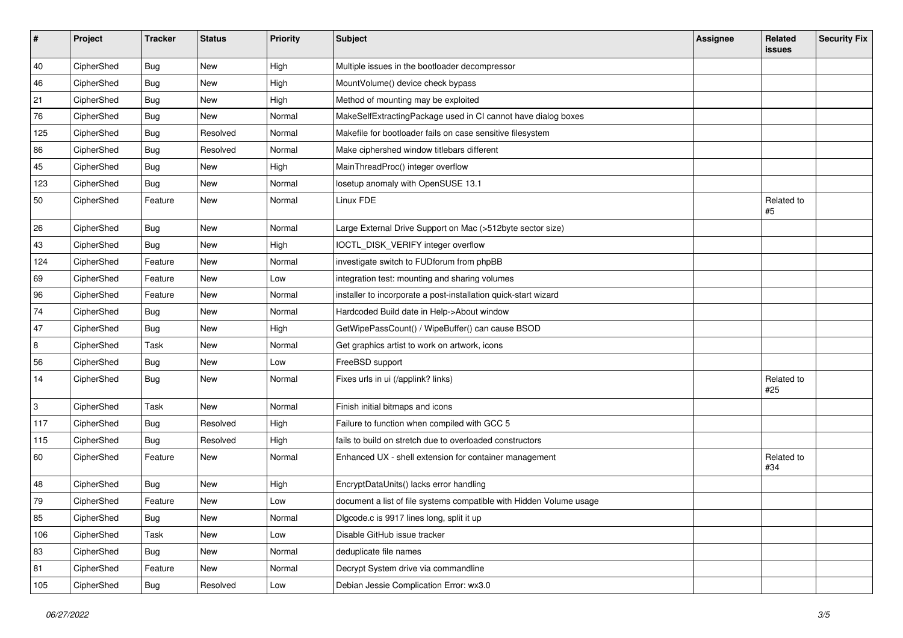| $\vert$ # | Project    | <b>Tracker</b> | <b>Status</b> | <b>Priority</b> | <b>Subject</b>                                                      | <b>Assignee</b> | Related<br>issues | <b>Security Fix</b> |
|-----------|------------|----------------|---------------|-----------------|---------------------------------------------------------------------|-----------------|-------------------|---------------------|
| 40        | CipherShed | Bug            | New           | High            | Multiple issues in the bootloader decompressor                      |                 |                   |                     |
| 46        | CipherShed | <b>Bug</b>     | New           | High            | MountVolume() device check bypass                                   |                 |                   |                     |
| 21        | CipherShed | <b>Bug</b>     | New           | High            | Method of mounting may be exploited                                 |                 |                   |                     |
| 76        | CipherShed | Bug            | New           | Normal          | MakeSelfExtractingPackage used in CI cannot have dialog boxes       |                 |                   |                     |
| 125       | CipherShed | <b>Bug</b>     | Resolved      | Normal          | Makefile for bootloader fails on case sensitive filesystem          |                 |                   |                     |
| 86        | CipherShed | <b>Bug</b>     | Resolved      | Normal          | Make ciphershed window titlebars different                          |                 |                   |                     |
| 45        | CipherShed | <b>Bug</b>     | New           | High            | MainThreadProc() integer overflow                                   |                 |                   |                     |
| 123       | CipherShed | Bug            | New           | Normal          | losetup anomaly with OpenSUSE 13.1                                  |                 |                   |                     |
| 50        | CipherShed | Feature        | New           | Normal          | Linux FDE                                                           |                 | Related to<br>#5  |                     |
| 26        | CipherShed | Bug            | New           | Normal          | Large External Drive Support on Mac (>512byte sector size)          |                 |                   |                     |
| 43        | CipherShed | Bug            | New           | High            | IOCTL_DISK_VERIFY integer overflow                                  |                 |                   |                     |
| 124       | CipherShed | Feature        | New           | Normal          | investigate switch to FUDforum from phpBB                           |                 |                   |                     |
| 69        | CipherShed | Feature        | New           | Low             | integration test: mounting and sharing volumes                      |                 |                   |                     |
| 96        | CipherShed | Feature        | New           | Normal          | installer to incorporate a post-installation quick-start wizard     |                 |                   |                     |
| 74        | CipherShed | <b>Bug</b>     | New           | Normal          | Hardcoded Build date in Help->About window                          |                 |                   |                     |
| 47        | CipherShed | Bug            | New           | High            | GetWipePassCount() / WipeBuffer() can cause BSOD                    |                 |                   |                     |
| 8         | CipherShed | Task           | New           | Normal          | Get graphics artist to work on artwork, icons                       |                 |                   |                     |
| 56        | CipherShed | <b>Bug</b>     | New           | Low             | FreeBSD support                                                     |                 |                   |                     |
| 14        | CipherShed | <b>Bug</b>     | New           | Normal          | Fixes urls in ui (/applink? links)                                  |                 | Related to<br>#25 |                     |
| 3         | CipherShed | <b>Task</b>    | New           | Normal          | Finish initial bitmaps and icons                                    |                 |                   |                     |
| 117       | CipherShed | <b>Bug</b>     | Resolved      | High            | Failure to function when compiled with GCC 5                        |                 |                   |                     |
| 115       | CipherShed | Bug            | Resolved      | High            | fails to build on stretch due to overloaded constructors            |                 |                   |                     |
| 60        | CipherShed | Feature        | New           | Normal          | Enhanced UX - shell extension for container management              |                 | Related to<br>#34 |                     |
| 48        | CipherShed | Bug            | New           | High            | EncryptDataUnits() lacks error handling                             |                 |                   |                     |
| 79        | CipherShed | Feature        | <b>New</b>    | Low             | document a list of file systems compatible with Hidden Volume usage |                 |                   |                     |
| 85        | CipherShed | <b>Bug</b>     | New           | Normal          | Digcode.c is 9917 lines long, split it up                           |                 |                   |                     |
| 106       | CipherShed | Task           | New           | Low             | Disable GitHub issue tracker                                        |                 |                   |                     |
| 83        | CipherShed | <b>Bug</b>     | New           | Normal          | deduplicate file names                                              |                 |                   |                     |
| 81        | CipherShed | Feature        | New           | Normal          | Decrypt System drive via commandline                                |                 |                   |                     |
| 105       | CipherShed | <b>Bug</b>     | Resolved      | Low             | Debian Jessie Complication Error: wx3.0                             |                 |                   |                     |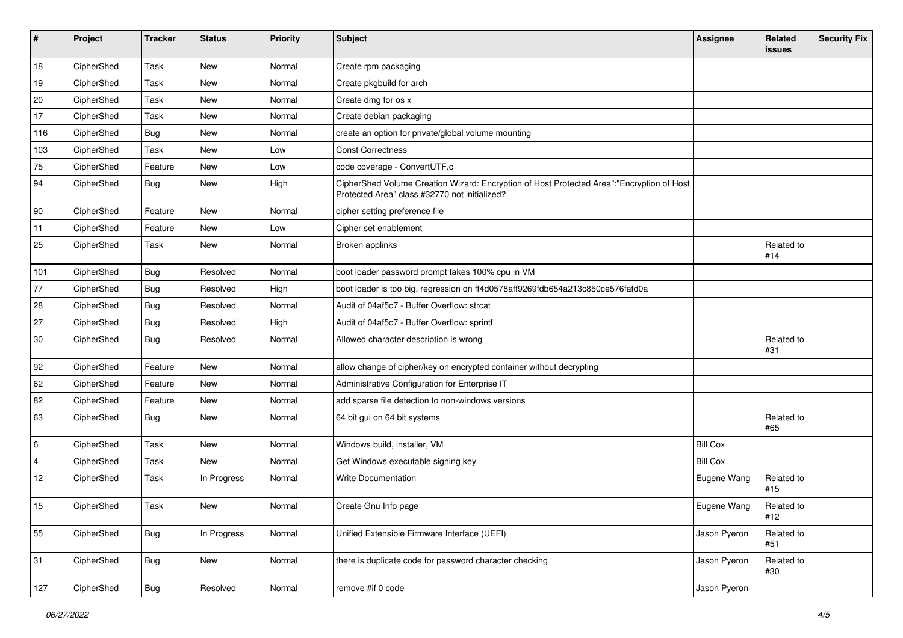| #              | Project    | <b>Tracker</b> | <b>Status</b> | Priority | Subject                                                                                                                                    | <b>Assignee</b> | Related<br><b>issues</b> | <b>Security Fix</b> |
|----------------|------------|----------------|---------------|----------|--------------------------------------------------------------------------------------------------------------------------------------------|-----------------|--------------------------|---------------------|
| 18             | CipherShed | Task           | <b>New</b>    | Normal   | Create rpm packaging                                                                                                                       |                 |                          |                     |
| 19             | CipherShed | Task           | New           | Normal   | Create pkgbuild for arch                                                                                                                   |                 |                          |                     |
| 20             | CipherShed | Task           | New           | Normal   | Create dmg for os x                                                                                                                        |                 |                          |                     |
| 17             | CipherShed | Task           | New           | Normal   | Create debian packaging                                                                                                                    |                 |                          |                     |
| 116            | CipherShed | <b>Bug</b>     | New           | Normal   | create an option for private/global volume mounting                                                                                        |                 |                          |                     |
| 103            | CipherShed | Task           | New           | Low      | <b>Const Correctness</b>                                                                                                                   |                 |                          |                     |
| 75             | CipherShed | Feature        | New           | Low      | code coverage - ConvertUTF.c                                                                                                               |                 |                          |                     |
| 94             | CipherShed | Bug            | New           | High     | CipherShed Volume Creation Wizard: Encryption of Host Protected Area":"Encryption of Host<br>Protected Area" class #32770 not initialized? |                 |                          |                     |
| 90             | CipherShed | Feature        | <b>New</b>    | Normal   | cipher setting preference file                                                                                                             |                 |                          |                     |
| 11             | CipherShed | Feature        | New           | Low      | Cipher set enablement                                                                                                                      |                 |                          |                     |
| 25             | CipherShed | Task           | New           | Normal   | Broken applinks                                                                                                                            |                 | Related to<br>#14        |                     |
| 101            | CipherShed | <b>Bug</b>     | Resolved      | Normal   | boot loader password prompt takes 100% cpu in VM                                                                                           |                 |                          |                     |
| 77             | CipherShed | Bug            | Resolved      | High     | boot loader is too big, regression on ff4d0578aff9269fdb654a213c850ce576fafd0a                                                             |                 |                          |                     |
| 28             | CipherShed | Bug            | Resolved      | Normal   | Audit of 04af5c7 - Buffer Overflow: strcat                                                                                                 |                 |                          |                     |
| 27             | CipherShed | <b>Bug</b>     | Resolved      | High     | Audit of 04af5c7 - Buffer Overflow: sprintf                                                                                                |                 |                          |                     |
| 30             | CipherShed | <b>Bug</b>     | Resolved      | Normal   | Allowed character description is wrong                                                                                                     |                 | Related to<br>#31        |                     |
| 92             | CipherShed | Feature        | New           | Normal   | allow change of cipher/key on encrypted container without decrypting                                                                       |                 |                          |                     |
| 62             | CipherShed | Feature        | New           | Normal   | Administrative Configuration for Enterprise IT                                                                                             |                 |                          |                     |
| 82             | CipherShed | Feature        | <b>New</b>    | Normal   | add sparse file detection to non-windows versions                                                                                          |                 |                          |                     |
| 63             | CipherShed | Bug            | New           | Normal   | 64 bit gui on 64 bit systems                                                                                                               |                 | Related to<br>#65        |                     |
| 6              | CipherShed | Task           | New           | Normal   | Windows build, installer, VM                                                                                                               | <b>Bill Cox</b> |                          |                     |
| $\overline{4}$ | CipherShed | Task           | <b>New</b>    | Normal   | Get Windows executable signing key                                                                                                         | <b>Bill Cox</b> |                          |                     |
| 12             | CipherShed | Task           | In Progress   | Normal   | <b>Write Documentation</b>                                                                                                                 | Eugene Wang     | Related to<br>#15        |                     |
| 15             | CipherShed | Task           | <b>New</b>    | Normal   | Create Gnu Info page                                                                                                                       | Eugene Wang     | Related to<br>#12        |                     |
| 55             | CipherShed | <b>Bug</b>     | In Progress   | Normal   | Unified Extensible Firmware Interface (UEFI)                                                                                               | Jason Pyeron    | Related to<br>#51        |                     |
| 31             | CipherShed | <b>Bug</b>     | New           | Normal   | there is duplicate code for password character checking                                                                                    | Jason Pyeron    | Related to<br>#30        |                     |
| 127            | CipherShed | Bug            | Resolved      | Normal   | remove #if 0 code                                                                                                                          | Jason Pyeron    |                          |                     |